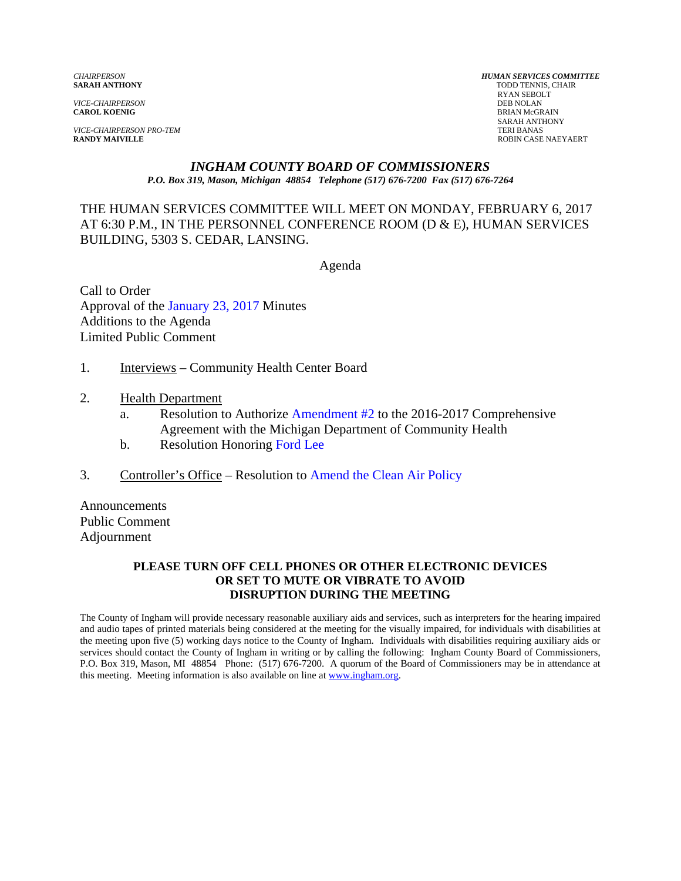*VICE-CHAIRPERSON*<br>**CAROL KOENIG** 

*VICE-CHAIRPERSON PRO-TEM* TERI BANAS<br> **RANDY MAIVILLE** ROBIN CASE

*CHAIRPERSON HUMAN SERVICES COMMITTEE* TODD TENNIS, CHAIR RYAN SEBOLT **BRIAN McGRAIN**  SARAH ANTHONY **ROBIN CASE NAEYAERT** 

#### *INGHAM COUNTY BOARD OF COMMISSIONERS P.O. Box 319, Mason, Michigan 48854 Telephone (517) 676-7200 Fax (517) 676-7264*

### THE HUMAN SERVICES COMMITTEE WILL MEET ON MONDAY, FEBRUARY 6, 2017 AT 6:30 P.M., IN THE PERSONNEL CONFERENCE ROOM (D & E), HUMAN SERVICES BUILDING, 5303 S. CEDAR, LANSING.

Agenda

Call to Order Approval o[f the January 23, 2017 Minutes](#page-1-0)  Additions to the Agenda Limited Public Comment

- 1. Interviews Community Health Center Board
- 2. Health Department
	- a. Resolution to Authorize Amendment #2 to the 2016-2017 Comprehensive Agreement with the [Michigan Department of](#page-10-0) Community Health
	- b. Resolution Hon[oring Ford Lee](#page-13-0)
- 3. Controller's Office Resolutio[n to Amend the Clean Air Policy](#page-14-0)

Announcements Public Comment Adjournment

#### **PLEASE TURN OFF CELL PHONES OR OTHER ELECTRONIC DEVICES OR SET TO MUTE OR VIBRATE TO AVOID DISRUPTION DURING THE MEETING**

The County of Ingham will provide necessary reasonable auxiliary aids and services, such as interpreters for the hearing impaired and audio tapes of printed materials being considered at the meeting for the visually impaired, for individuals with disabilities at the meeting upon five (5) working days notice to the County of Ingham. Individuals with disabilities requiring auxiliary aids or services should contact the County of Ingham in writing or by calling the following: Ingham County Board of Commissioners, P.O. Box 319, Mason, MI 48854 Phone: (517) 676-7200. A quorum of the Board of Commissioners may be in attendance at this meeting. Meeting information is also available on line at www.ingham.org.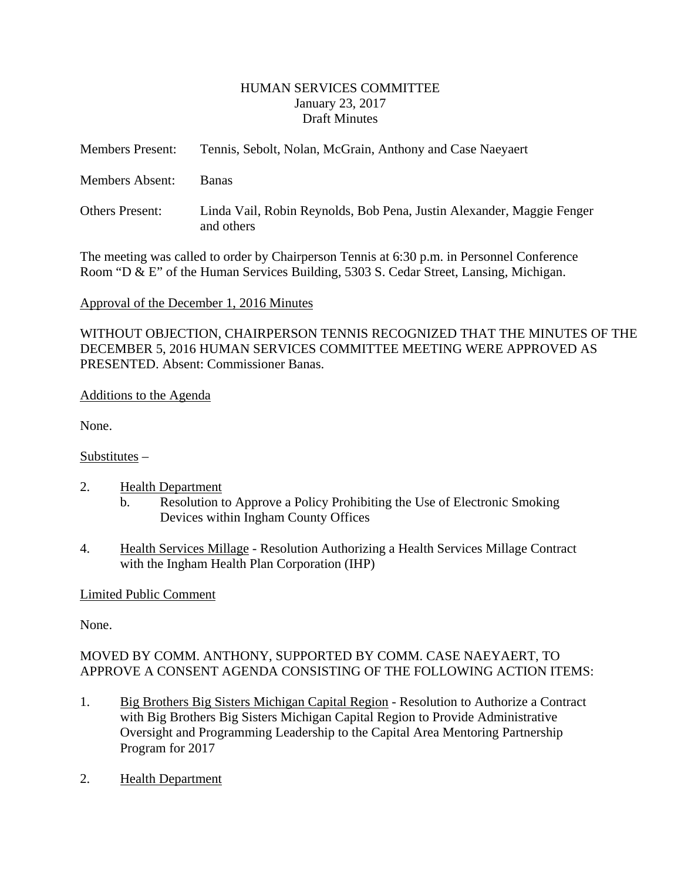### HUMAN SERVICES COMMITTEE January 23, 2017 Draft Minutes

<span id="page-1-0"></span>

| <b>Members Present:</b> | Tennis, Sebolt, Nolan, McGrain, Anthony and Case Naeyaert                           |
|-------------------------|-------------------------------------------------------------------------------------|
| Members Absent:         | Banas                                                                               |
| <b>Others Present:</b>  | Linda Vail, Robin Reynolds, Bob Pena, Justin Alexander, Maggie Fenger<br>and others |

The meeting was called to order by Chairperson Tennis at 6:30 p.m. in Personnel Conference Room "D & E" of the Human Services Building, 5303 S. Cedar Street, Lansing, Michigan.

### Approval of the December 1, 2016 Minutes

WITHOUT OBJECTION, CHAIRPERSON TENNIS RECOGNIZED THAT THE MINUTES OF THE DECEMBER 5, 2016 HUMAN SERVICES COMMITTEE MEETING WERE APPROVED AS PRESENTED. Absent: Commissioner Banas.

### Additions to the Agenda

None.

### Substitutes –

- 2. Health Department
	- b. Resolution to Approve a Policy Prohibiting the Use of Electronic Smoking Devices within Ingham County Offices
- 4. Health Services Millage Resolution Authorizing a Health Services Millage Contract with the Ingham Health Plan Corporation (IHP)

### Limited Public Comment

None.

# MOVED BY COMM. ANTHONY, SUPPORTED BY COMM. CASE NAEYAERT, TO APPROVE A CONSENT AGENDA CONSISTING OF THE FOLLOWING ACTION ITEMS:

- 1. Big Brothers Big Sisters Michigan Capital Region Resolution to Authorize a Contract with Big Brothers Big Sisters Michigan Capital Region to Provide Administrative Oversight and Programming Leadership to the Capital Area Mentoring Partnership Program for 2017
- 2. Health Department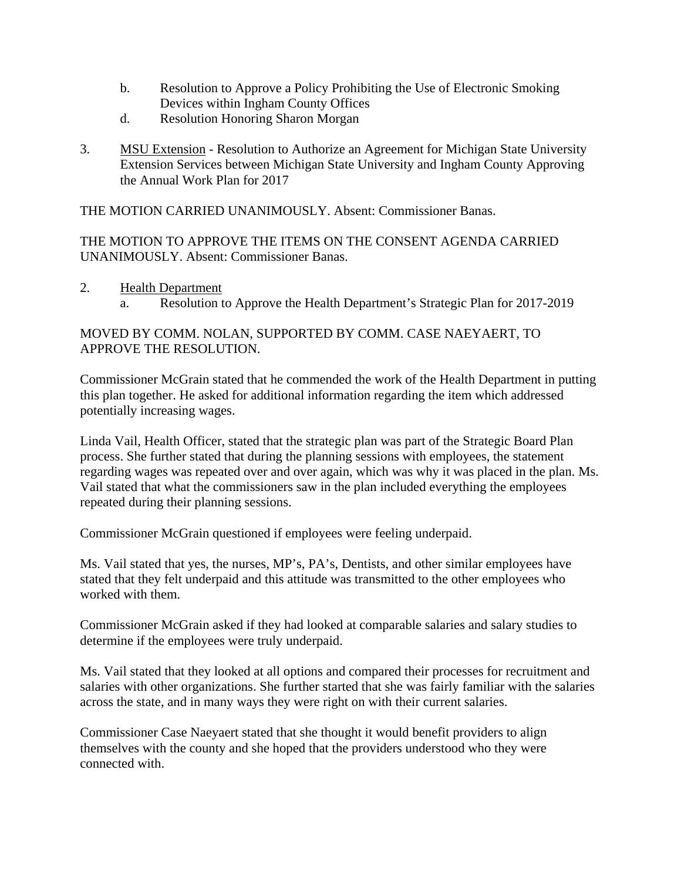- b. Resolution to Approve a Policy Prohibiting the Use of Electronic Smoking Devices within Ingham County Offices
- d. Resolution Honoring Sharon Morgan
- 3. MSU Extension Resolution to Authorize an Agreement for Michigan State University Extension Services between Michigan State University and Ingham County Approving the Annual Work Plan for 2017

THE MOTION CARRIED UNANIMOUSLY. Absent: Commissioner Banas.

THE MOTION TO APPROVE THE ITEMS ON THE CONSENT AGENDA CARRIED UNANIMOUSLY. Absent: Commissioner Banas.

2. Health Department a. Resolution to Approve the Health Department's Strategic Plan for 2017-2019

# MOVED BY COMM. NOLAN, SUPPORTED BY COMM. CASE NAEYAERT, TO APPROVE THE RESOLUTION.

Commissioner McGrain stated that he commended the work of the Health Department in putting this plan together. He asked for additional information regarding the item which addressed potentially increasing wages.

Linda Vail, Health Officer, stated that the strategic plan was part of the Strategic Board Plan process. She further stated that during the planning sessions with employees, the statement regarding wages was repeated over and over again, which was why it was placed in the plan. Ms. Vail stated that what the commissioners saw in the plan included everything the employees repeated during their planning sessions.

Commissioner McGrain questioned if employees were feeling underpaid.

Ms. Vail stated that yes, the nurses, MP's, PA's, Dentists, and other similar employees have stated that they felt underpaid and this attitude was transmitted to the other employees who worked with them.

Commissioner McGrain asked if they had looked at comparable salaries and salary studies to determine if the employees were truly underpaid.

Ms. Vail stated that they looked at all options and compared their processes for recruitment and salaries with other organizations. She further started that she was fairly familiar with the salaries across the state, and in many ways they were right on with their current salaries.

Commissioner Case Naeyaert stated that she thought it would benefit providers to align themselves with the county and she hoped that the providers understood who they were connected with.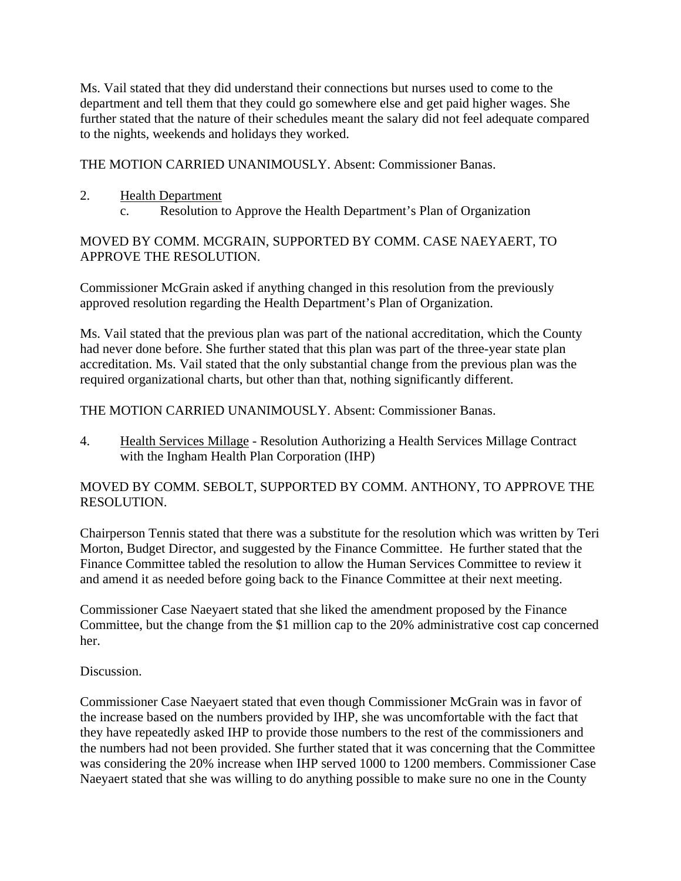Ms. Vail stated that they did understand their connections but nurses used to come to the department and tell them that they could go somewhere else and get paid higher wages. She further stated that the nature of their schedules meant the salary did not feel adequate compared to the nights, weekends and holidays they worked.

THE MOTION CARRIED UNANIMOUSLY. Absent: Commissioner Banas.

- 2. Health Department
	- c. Resolution to Approve the Health Department's Plan of Organization

## MOVED BY COMM. MCGRAIN, SUPPORTED BY COMM. CASE NAEYAERT, TO APPROVE THE RESOLUTION.

Commissioner McGrain asked if anything changed in this resolution from the previously approved resolution regarding the Health Department's Plan of Organization.

Ms. Vail stated that the previous plan was part of the national accreditation, which the County had never done before. She further stated that this plan was part of the three-year state plan accreditation. Ms. Vail stated that the only substantial change from the previous plan was the required organizational charts, but other than that, nothing significantly different.

# THE MOTION CARRIED UNANIMOUSLY. Absent: Commissioner Banas.

4. Health Services Millage - Resolution Authorizing a Health Services Millage Contract with the Ingham Health Plan Corporation (IHP)

# MOVED BY COMM. SEBOLT, SUPPORTED BY COMM. ANTHONY, TO APPROVE THE RESOLUTION.

Chairperson Tennis stated that there was a substitute for the resolution which was written by Teri Morton, Budget Director, and suggested by the Finance Committee. He further stated that the Finance Committee tabled the resolution to allow the Human Services Committee to review it and amend it as needed before going back to the Finance Committee at their next meeting.

Commissioner Case Naeyaert stated that she liked the amendment proposed by the Finance Committee, but the change from the \$1 million cap to the 20% administrative cost cap concerned her.

# Discussion.

Commissioner Case Naeyaert stated that even though Commissioner McGrain was in favor of the increase based on the numbers provided by IHP, she was uncomfortable with the fact that they have repeatedly asked IHP to provide those numbers to the rest of the commissioners and the numbers had not been provided. She further stated that it was concerning that the Committee was considering the 20% increase when IHP served 1000 to 1200 members. Commissioner Case Naeyaert stated that she was willing to do anything possible to make sure no one in the County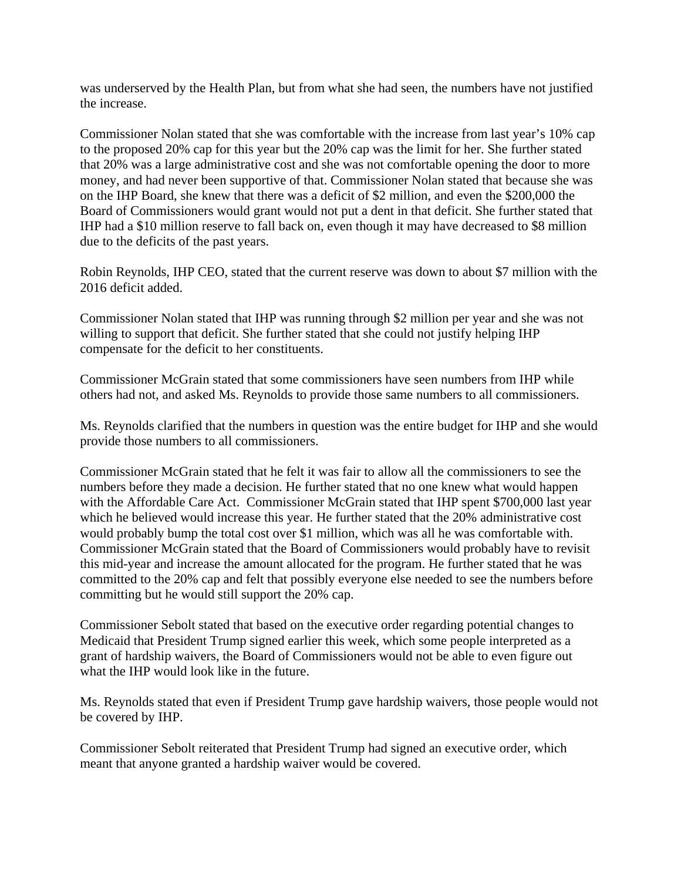was underserved by the Health Plan, but from what she had seen, the numbers have not justified the increase.

Commissioner Nolan stated that she was comfortable with the increase from last year's 10% cap to the proposed 20% cap for this year but the 20% cap was the limit for her. She further stated that 20% was a large administrative cost and she was not comfortable opening the door to more money, and had never been supportive of that. Commissioner Nolan stated that because she was on the IHP Board, she knew that there was a deficit of \$2 million, and even the \$200,000 the Board of Commissioners would grant would not put a dent in that deficit. She further stated that IHP had a \$10 million reserve to fall back on, even though it may have decreased to \$8 million due to the deficits of the past years.

Robin Reynolds, IHP CEO, stated that the current reserve was down to about \$7 million with the 2016 deficit added.

Commissioner Nolan stated that IHP was running through \$2 million per year and she was not willing to support that deficit. She further stated that she could not justify helping IHP compensate for the deficit to her constituents.

Commissioner McGrain stated that some commissioners have seen numbers from IHP while others had not, and asked Ms. Reynolds to provide those same numbers to all commissioners.

Ms. Reynolds clarified that the numbers in question was the entire budget for IHP and she would provide those numbers to all commissioners.

Commissioner McGrain stated that he felt it was fair to allow all the commissioners to see the numbers before they made a decision. He further stated that no one knew what would happen with the Affordable Care Act. Commissioner McGrain stated that IHP spent \$700,000 last year which he believed would increase this year. He further stated that the 20% administrative cost would probably bump the total cost over \$1 million, which was all he was comfortable with. Commissioner McGrain stated that the Board of Commissioners would probably have to revisit this mid-year and increase the amount allocated for the program. He further stated that he was committed to the 20% cap and felt that possibly everyone else needed to see the numbers before committing but he would still support the 20% cap.

Commissioner Sebolt stated that based on the executive order regarding potential changes to Medicaid that President Trump signed earlier this week, which some people interpreted as a grant of hardship waivers, the Board of Commissioners would not be able to even figure out what the IHP would look like in the future.

Ms. Reynolds stated that even if President Trump gave hardship waivers, those people would not be covered by IHP.

Commissioner Sebolt reiterated that President Trump had signed an executive order, which meant that anyone granted a hardship waiver would be covered.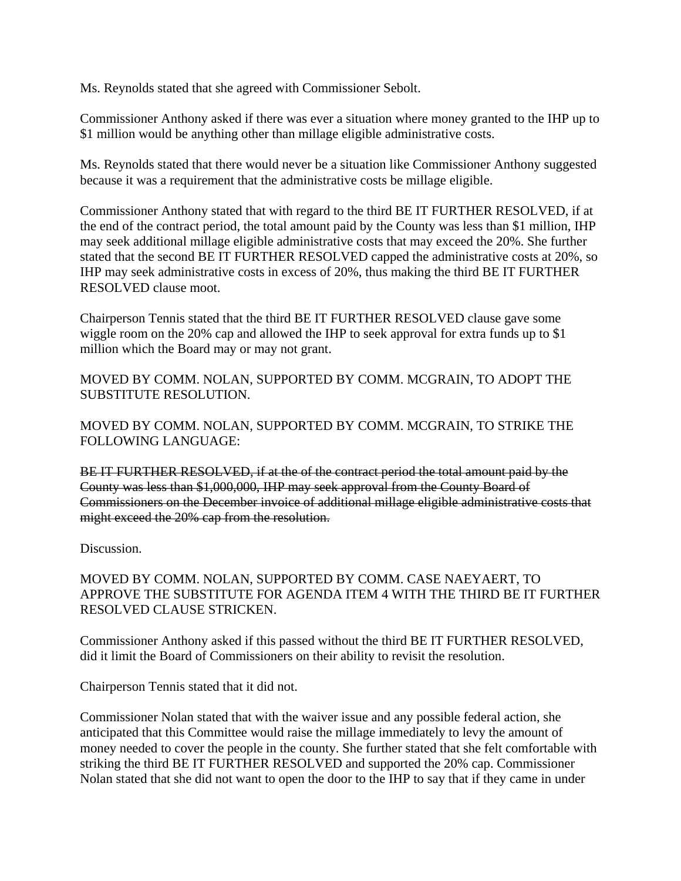Ms. Reynolds stated that she agreed with Commissioner Sebolt.

Commissioner Anthony asked if there was ever a situation where money granted to the IHP up to \$1 million would be anything other than millage eligible administrative costs.

Ms. Reynolds stated that there would never be a situation like Commissioner Anthony suggested because it was a requirement that the administrative costs be millage eligible.

Commissioner Anthony stated that with regard to the third BE IT FURTHER RESOLVED, if at the end of the contract period, the total amount paid by the County was less than \$1 million, IHP may seek additional millage eligible administrative costs that may exceed the 20%. She further stated that the second BE IT FURTHER RESOLVED capped the administrative costs at 20%, so IHP may seek administrative costs in excess of 20%, thus making the third BE IT FURTHER RESOLVED clause moot.

Chairperson Tennis stated that the third BE IT FURTHER RESOLVED clause gave some wiggle room on the 20% cap and allowed the IHP to seek approval for extra funds up to \$1 million which the Board may or may not grant.

MOVED BY COMM. NOLAN, SUPPORTED BY COMM. MCGRAIN, TO ADOPT THE SUBSTITUTE RESOLUTION.

MOVED BY COMM. NOLAN, SUPPORTED BY COMM. MCGRAIN, TO STRIKE THE FOLLOWING LANGUAGE:

BE IT FURTHER RESOLVED, if at the of the contract period the total amount paid by the County was less than \$1,000,000, IHP may seek approval from the County Board of Commissioners on the December invoice of additional millage eligible administrative costs that might exceed the 20% cap from the resolution.

Discussion.

MOVED BY COMM. NOLAN, SUPPORTED BY COMM. CASE NAEYAERT, TO APPROVE THE SUBSTITUTE FOR AGENDA ITEM 4 WITH THE THIRD BE IT FURTHER RESOLVED CLAUSE STRICKEN.

Commissioner Anthony asked if this passed without the third BE IT FURTHER RESOLVED, did it limit the Board of Commissioners on their ability to revisit the resolution.

Chairperson Tennis stated that it did not.

Commissioner Nolan stated that with the waiver issue and any possible federal action, she anticipated that this Committee would raise the millage immediately to levy the amount of money needed to cover the people in the county. She further stated that she felt comfortable with striking the third BE IT FURTHER RESOLVED and supported the 20% cap. Commissioner Nolan stated that she did not want to open the door to the IHP to say that if they came in under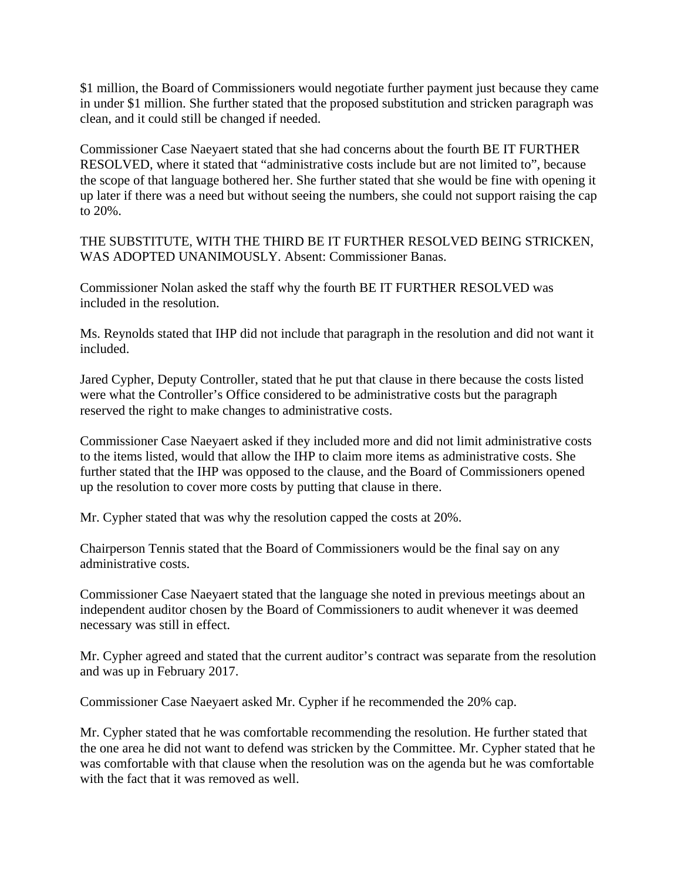\$1 million, the Board of Commissioners would negotiate further payment just because they came in under \$1 million. She further stated that the proposed substitution and stricken paragraph was clean, and it could still be changed if needed.

Commissioner Case Naeyaert stated that she had concerns about the fourth BE IT FURTHER RESOLVED, where it stated that "administrative costs include but are not limited to", because the scope of that language bothered her. She further stated that she would be fine with opening it up later if there was a need but without seeing the numbers, she could not support raising the cap to 20%.

THE SUBSTITUTE, WITH THE THIRD BE IT FURTHER RESOLVED BEING STRICKEN, WAS ADOPTED UNANIMOUSLY. Absent: Commissioner Banas.

Commissioner Nolan asked the staff why the fourth BE IT FURTHER RESOLVED was included in the resolution.

Ms. Reynolds stated that IHP did not include that paragraph in the resolution and did not want it included.

Jared Cypher, Deputy Controller, stated that he put that clause in there because the costs listed were what the Controller's Office considered to be administrative costs but the paragraph reserved the right to make changes to administrative costs.

Commissioner Case Naeyaert asked if they included more and did not limit administrative costs to the items listed, would that allow the IHP to claim more items as administrative costs. She further stated that the IHP was opposed to the clause, and the Board of Commissioners opened up the resolution to cover more costs by putting that clause in there.

Mr. Cypher stated that was why the resolution capped the costs at 20%.

Chairperson Tennis stated that the Board of Commissioners would be the final say on any administrative costs.

Commissioner Case Naeyaert stated that the language she noted in previous meetings about an independent auditor chosen by the Board of Commissioners to audit whenever it was deemed necessary was still in effect.

Mr. Cypher agreed and stated that the current auditor's contract was separate from the resolution and was up in February 2017.

Commissioner Case Naeyaert asked Mr. Cypher if he recommended the 20% cap.

Mr. Cypher stated that he was comfortable recommending the resolution. He further stated that the one area he did not want to defend was stricken by the Committee. Mr. Cypher stated that he was comfortable with that clause when the resolution was on the agenda but he was comfortable with the fact that it was removed as well.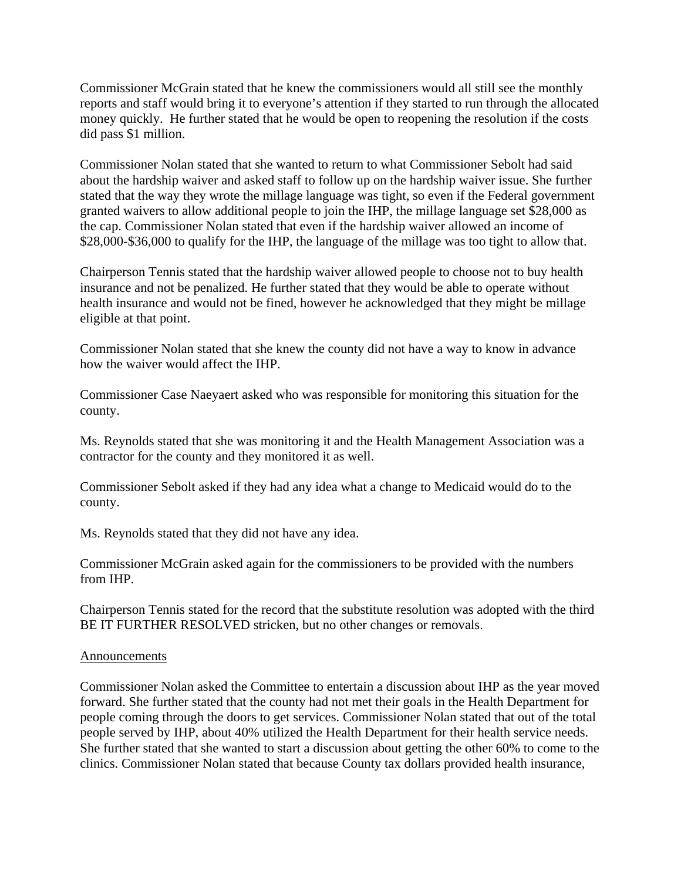Commissioner McGrain stated that he knew the commissioners would all still see the monthly reports and staff would bring it to everyone's attention if they started to run through the allocated money quickly. He further stated that he would be open to reopening the resolution if the costs did pass \$1 million.

Commissioner Nolan stated that she wanted to return to what Commissioner Sebolt had said about the hardship waiver and asked staff to follow up on the hardship waiver issue. She further stated that the way they wrote the millage language was tight, so even if the Federal government granted waivers to allow additional people to join the IHP, the millage language set \$28,000 as the cap. Commissioner Nolan stated that even if the hardship waiver allowed an income of \$28,000-\$36,000 to qualify for the IHP, the language of the millage was too tight to allow that.

Chairperson Tennis stated that the hardship waiver allowed people to choose not to buy health insurance and not be penalized. He further stated that they would be able to operate without health insurance and would not be fined, however he acknowledged that they might be millage eligible at that point.

Commissioner Nolan stated that she knew the county did not have a way to know in advance how the waiver would affect the IHP.

Commissioner Case Naeyaert asked who was responsible for monitoring this situation for the county.

Ms. Reynolds stated that she was monitoring it and the Health Management Association was a contractor for the county and they monitored it as well.

Commissioner Sebolt asked if they had any idea what a change to Medicaid would do to the county.

Ms. Reynolds stated that they did not have any idea.

Commissioner McGrain asked again for the commissioners to be provided with the numbers from IHP.

Chairperson Tennis stated for the record that the substitute resolution was adopted with the third BE IT FURTHER RESOLVED stricken, but no other changes or removals.

### Announcements

Commissioner Nolan asked the Committee to entertain a discussion about IHP as the year moved forward. She further stated that the county had not met their goals in the Health Department for people coming through the doors to get services. Commissioner Nolan stated that out of the total people served by IHP, about 40% utilized the Health Department for their health service needs. She further stated that she wanted to start a discussion about getting the other 60% to come to the clinics. Commissioner Nolan stated that because County tax dollars provided health insurance,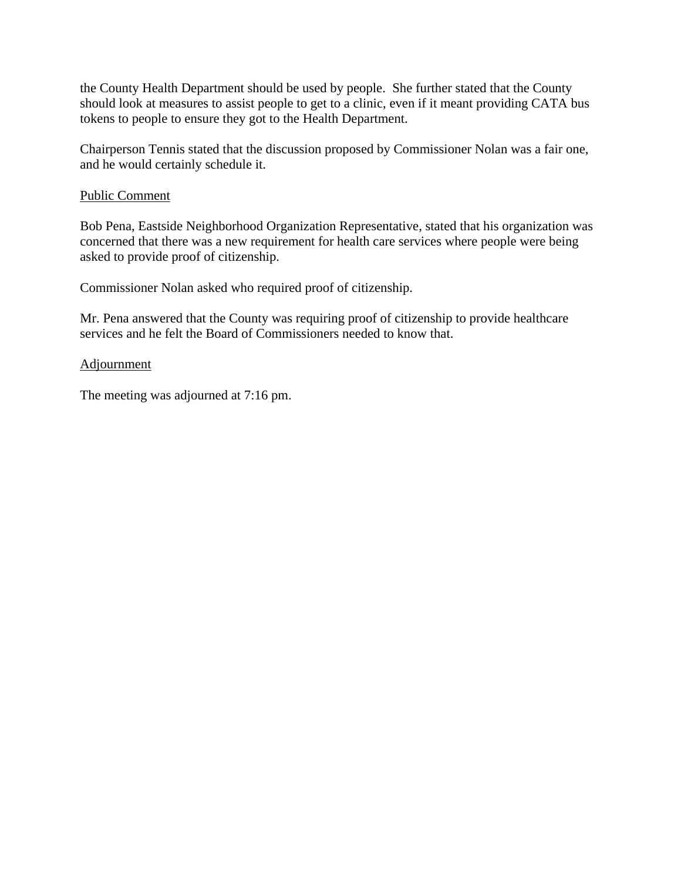the County Health Department should be used by people. She further stated that the County should look at measures to assist people to get to a clinic, even if it meant providing CATA bus tokens to people to ensure they got to the Health Department.

Chairperson Tennis stated that the discussion proposed by Commissioner Nolan was a fair one, and he would certainly schedule it.

### Public Comment

Bob Pena, Eastside Neighborhood Organization Representative, stated that his organization was concerned that there was a new requirement for health care services where people were being asked to provide proof of citizenship.

Commissioner Nolan asked who required proof of citizenship.

Mr. Pena answered that the County was requiring proof of citizenship to provide healthcare services and he felt the Board of Commissioners needed to know that.

#### Adjournment

The meeting was adjourned at 7:16 pm.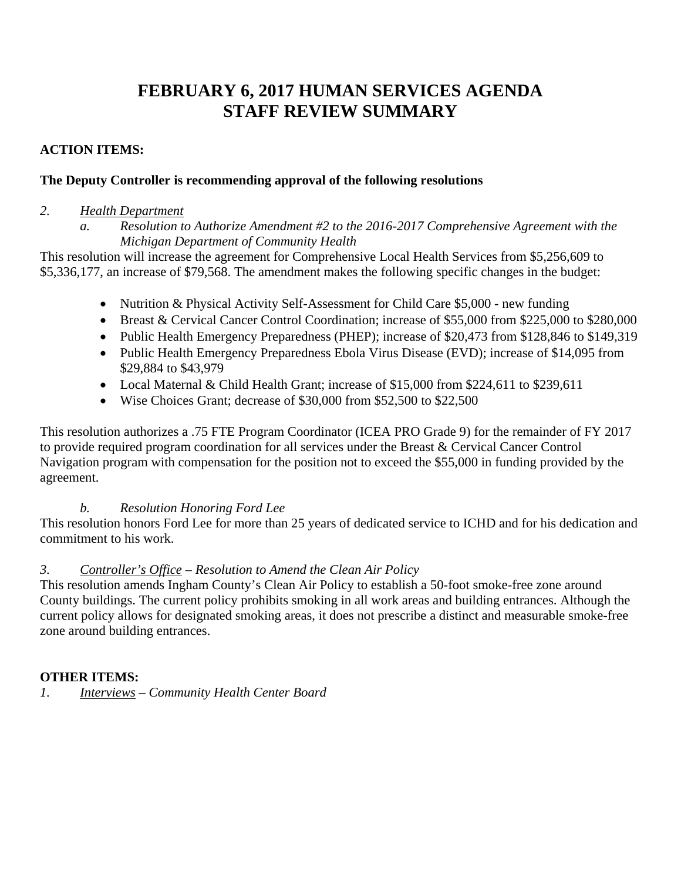# **FEBRUARY 6, 2017 HUMAN SERVICES AGENDA STAFF REVIEW SUMMARY**

# **ACTION ITEMS:**

# **The Deputy Controller is recommending approval of the following resolutions**

### *2. Health Department*

This resolution will increase the agreement for Comprehensive Local Health Services from \$5,256,609 to \$5,336,177, an increase of \$79,568. The amendment makes the following specific changes in the budget:

- Nutrition & Physical Activity Self-Assessment for Child Care \$5,000 new funding
- Breast & Cervical Cancer Control Coordination; increase of \$55,000 from \$225,000 to \$280,000
- Public Health Emergency Preparedness (PHEP); increase of \$20,473 from \$128,846 to \$149,319
- Public Health Emergency Preparedness Ebola Virus Disease (EVD); increase of \$14,095 from \$29,884 to \$43,979
- Local Maternal & Child Health Grant; increase of \$15,000 from \$224,611 to \$239,611
- Wise Choices Grant; decrease of \$30,000 from \$52,500 to \$22,500

This resolution authorizes a .75 FTE Program Coordinator (ICEA PRO Grade 9) for the remainder of FY 2017 to provide required program coordination for all services under the Breast & Cervical Cancer Control Navigation program with compensation for the position not to exceed the \$55,000 in funding provided by the agreement.

# *b. Resolution Honoring Ford Lee*

This resolution honors Ford Lee for more than 25 years of dedicated service to ICHD and for his dedication and commitment to his work.

# *3. Controller's Office – Resolution to Amend the Clean Air Policy*

This resolution amends Ingham County's Clean Air Policy to establish a 50-foot smoke-free zone around County buildings. The current policy prohibits smoking in all work areas and building entrances. Although the current policy allows for designated smoking areas, it does not prescribe a distinct and measurable smoke-free zone around building entrances.

# **OTHER ITEMS:**

*1. Interviews – Community Health Center Board* 

*a. Resolution to Authorize Amendment #2 to the 2016-2017 Comprehensive Agreement with the Michigan Department of Community Health*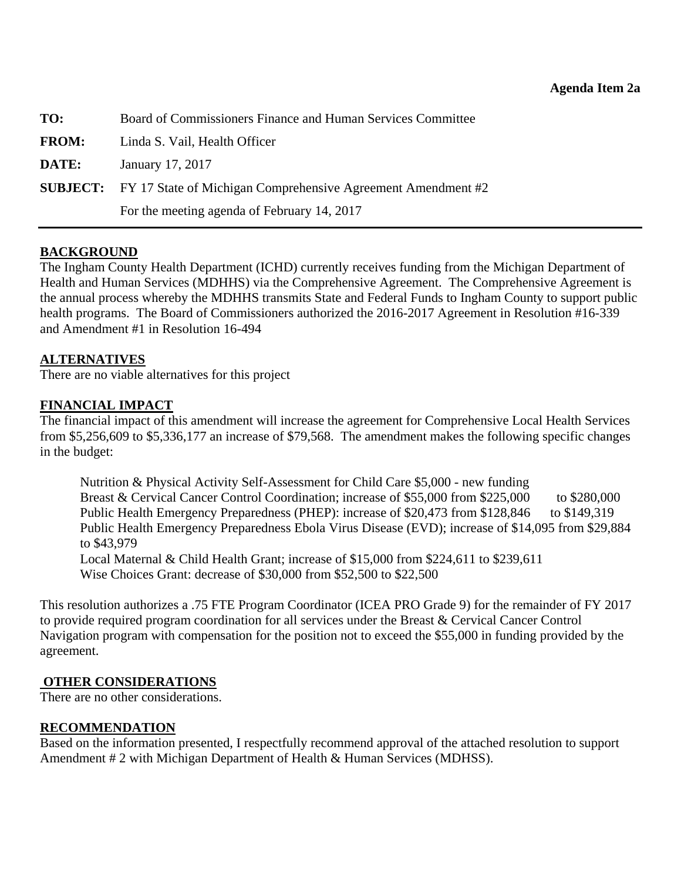<span id="page-10-0"></span>**TO:** Board of Commissioners Finance and Human Services Committee **FROM:** Linda S. Vail, Health Officer **DATE:** January 17, 2017 **SUBJECT:** FY 17 State of Michigan Comprehensive Agreement Amendment #2 For the meeting agenda of February 14, 2017

### **BACKGROUND**

The Ingham County Health Department (ICHD) currently receives funding from the Michigan Department of Health and Human Services (MDHHS) via the Comprehensive Agreement. The Comprehensive Agreement is the annual process whereby the MDHHS transmits State and Federal Funds to Ingham County to support public health programs. The Board of Commissioners authorized the 2016-2017 Agreement in Resolution #16-339 and Amendment #1 in Resolution 16-494

### **ALTERNATIVES**

There are no viable alternatives for this project

### **FINANCIAL IMPACT**

The financial impact of this amendment will increase the agreement for Comprehensive Local Health Services from \$5,256,609 to \$5,336,177 an increase of \$79,568. The amendment makes the following specific changes in the budget:

Nutrition & Physical Activity Self-Assessment for Child Care \$5,000 - new funding Breast & Cervical Cancer Control Coordination; increase of \$55,000 from \$225,000 to \$280,000 Public Health Emergency Preparedness (PHEP): increase of \$20,473 from \$128,846 to \$149,319 Public Health Emergency Preparedness Ebola Virus Disease (EVD); increase of \$14,095 from \$29,884 to \$43,979 Local Maternal & Child Health Grant; increase of \$15,000 from \$224,611 to \$239,611 Wise Choices Grant: decrease of \$30,000 from \$52,500 to \$22,500

This resolution authorizes a .75 FTE Program Coordinator (ICEA PRO Grade 9) for the remainder of FY 2017 to provide required program coordination for all services under the Breast & Cervical Cancer Control Navigation program with compensation for the position not to exceed the \$55,000 in funding provided by the agreement.

### **OTHER CONSIDERATIONS**

There are no other considerations.

### **RECOMMENDATION**

Based on the information presented, I respectfully recommend approval of the attached resolution to support Amendment # 2 with Michigan Department of Health & Human Services (MDHSS).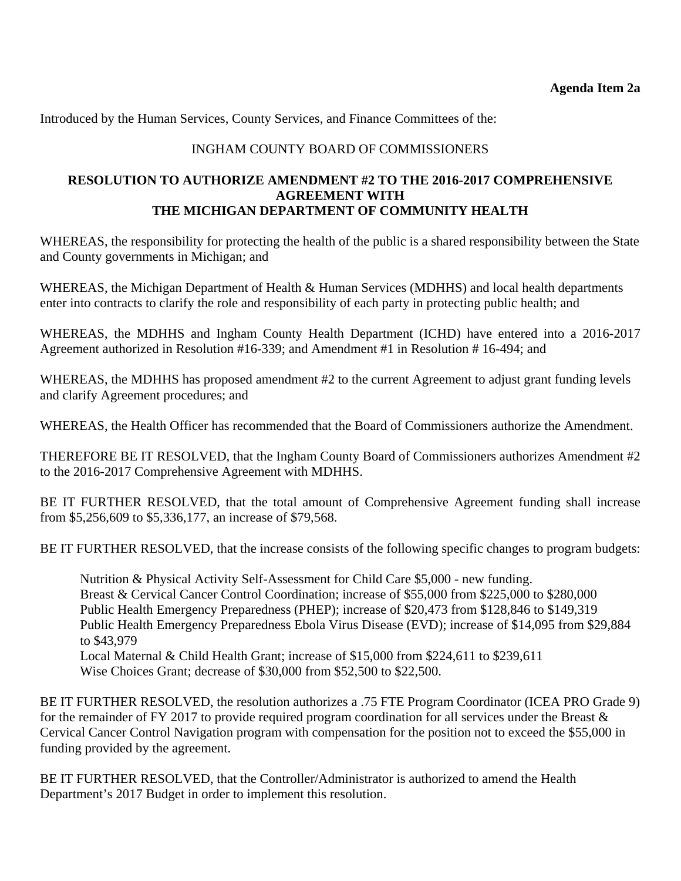Introduced by the Human Services, County Services, and Finance Committees of the:

# INGHAM COUNTY BOARD OF COMMISSIONERS

### **RESOLUTION TO AUTHORIZE AMENDMENT #2 TO THE 2016-2017 COMPREHENSIVE AGREEMENT WITH THE MICHIGAN DEPARTMENT OF COMMUNITY HEALTH**

WHEREAS, the responsibility for protecting the health of the public is a shared responsibility between the State and County governments in Michigan; and

WHEREAS, the Michigan Department of Health & Human Services (MDHHS) and local health departments enter into contracts to clarify the role and responsibility of each party in protecting public health; and

WHEREAS, the MDHHS and Ingham County Health Department (ICHD) have entered into a 2016-2017 Agreement authorized in Resolution #16-339; and Amendment #1 in Resolution # 16-494; and

WHEREAS, the MDHHS has proposed amendment #2 to the current Agreement to adjust grant funding levels and clarify Agreement procedures; and

WHEREAS, the Health Officer has recommended that the Board of Commissioners authorize the Amendment.

THEREFORE BE IT RESOLVED, that the Ingham County Board of Commissioners authorizes Amendment #2 to the 2016-2017 Comprehensive Agreement with MDHHS.

BE IT FURTHER RESOLVED, that the total amount of Comprehensive Agreement funding shall increase from \$5,256,609 to \$5,336,177, an increase of \$79,568.

BE IT FURTHER RESOLVED, that the increase consists of the following specific changes to program budgets:

Nutrition & Physical Activity Self-Assessment for Child Care \$5,000 - new funding. Breast & Cervical Cancer Control Coordination; increase of \$55,000 from \$225,000 to \$280,000 Public Health Emergency Preparedness (PHEP); increase of \$20,473 from \$128,846 to \$149,319 Public Health Emergency Preparedness Ebola Virus Disease (EVD); increase of \$14,095 from \$29,884 to \$43,979 Local Maternal & Child Health Grant; increase of \$15,000 from \$224,611 to \$239,611 Wise Choices Grant; decrease of \$30,000 from \$52,500 to \$22,500.

BE IT FURTHER RESOLVED, the resolution authorizes a .75 FTE Program Coordinator (ICEA PRO Grade 9) for the remainder of FY 2017 to provide required program coordination for all services under the Breast  $\&$ Cervical Cancer Control Navigation program with compensation for the position not to exceed the \$55,000 in funding provided by the agreement.

BE IT FURTHER RESOLVED, that the Controller/Administrator is authorized to amend the Health Department's 2017 Budget in order to implement this resolution.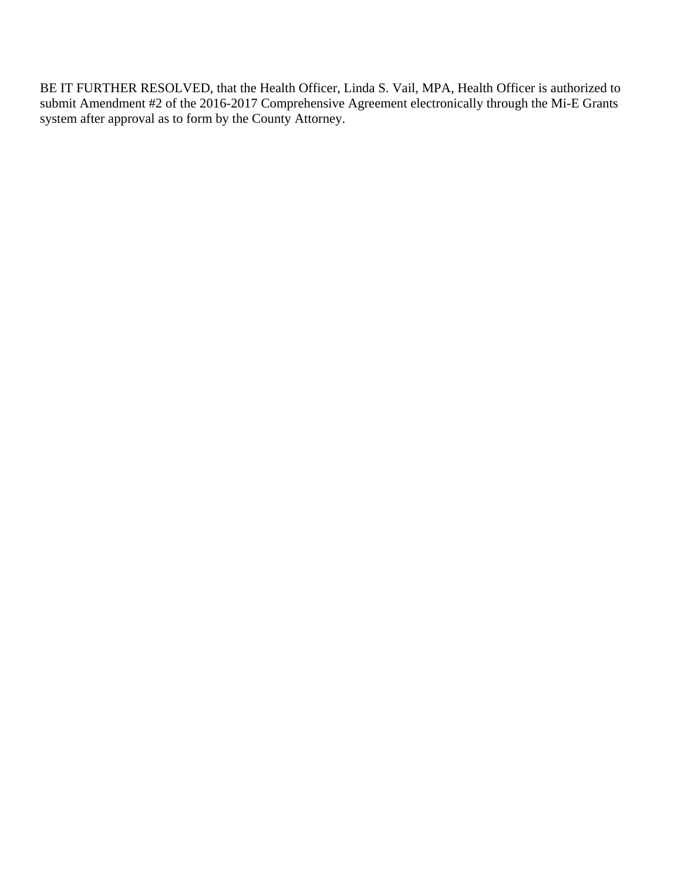BE IT FURTHER RESOLVED, that the Health Officer, Linda S. Vail, MPA, Health Officer is authorized to submit Amendment #2 of the 2016-2017 Comprehensive Agreement electronically through the Mi-E Grants system after approval as to form by the County Attorney.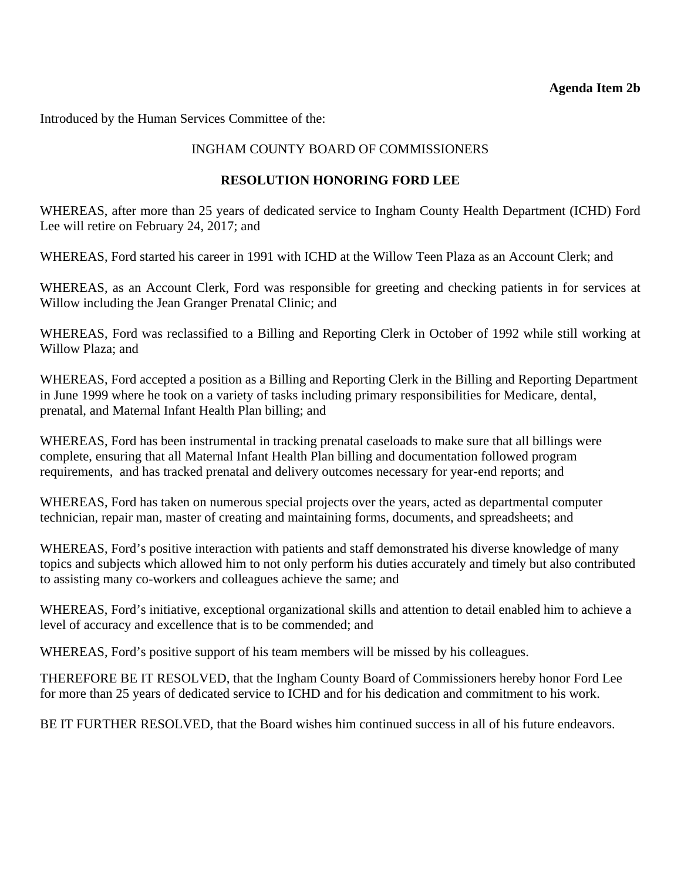### **Agenda Item 2b**

<span id="page-13-0"></span>Introduced by the Human Services Committee of the:

# INGHAM COUNTY BOARD OF COMMISSIONERS

### **RESOLUTION HONORING FORD LEE**

WHEREAS, after more than 25 years of dedicated service to Ingham County Health Department (ICHD) Ford Lee will retire on February 24, 2017; and

WHEREAS, Ford started his career in 1991 with ICHD at the Willow Teen Plaza as an Account Clerk; and

WHEREAS, as an Account Clerk, Ford was responsible for greeting and checking patients in for services at Willow including the Jean Granger Prenatal Clinic; and

WHEREAS, Ford was reclassified to a Billing and Reporting Clerk in October of 1992 while still working at Willow Plaza; and

WHEREAS, Ford accepted a position as a Billing and Reporting Clerk in the Billing and Reporting Department in June 1999 where he took on a variety of tasks including primary responsibilities for Medicare, dental, prenatal, and Maternal Infant Health Plan billing; and

WHEREAS, Ford has been instrumental in tracking prenatal caseloads to make sure that all billings were complete, ensuring that all Maternal Infant Health Plan billing and documentation followed program requirements, and has tracked prenatal and delivery outcomes necessary for year-end reports; and

WHEREAS, Ford has taken on numerous special projects over the years, acted as departmental computer technician, repair man, master of creating and maintaining forms, documents, and spreadsheets; and

WHEREAS, Ford's positive interaction with patients and staff demonstrated his diverse knowledge of many topics and subjects which allowed him to not only perform his duties accurately and timely but also contributed to assisting many co-workers and colleagues achieve the same; and

WHEREAS, Ford's initiative, exceptional organizational skills and attention to detail enabled him to achieve a level of accuracy and excellence that is to be commended; and

WHEREAS, Ford's positive support of his team members will be missed by his colleagues.

THEREFORE BE IT RESOLVED, that the Ingham County Board of Commissioners hereby honor Ford Lee for more than 25 years of dedicated service to ICHD and for his dedication and commitment to his work.

BE IT FURTHER RESOLVED, that the Board wishes him continued success in all of his future endeavors.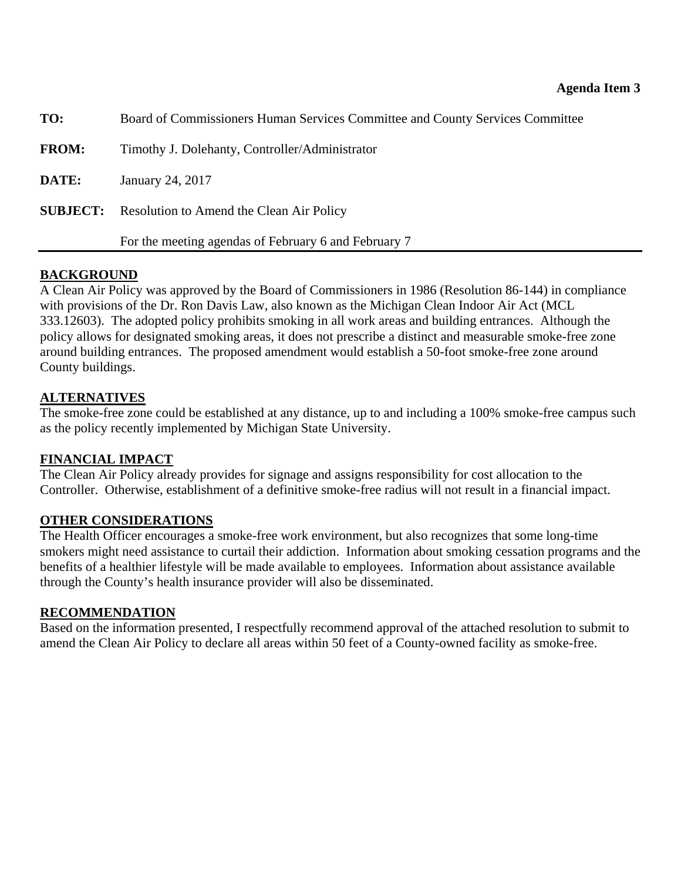<span id="page-14-0"></span>

| TO:          | Board of Commissioners Human Services Committee and County Services Committee |
|--------------|-------------------------------------------------------------------------------|
| <b>FROM:</b> | Timothy J. Dolehanty, Controller/Administrator                                |
| DATE:        | January 24, 2017                                                              |
|              | <b>SUBJECT:</b> Resolution to Amend the Clean Air Policy                      |
|              | For the meeting agendas of February 6 and February 7                          |

# **BACKGROUND**

A Clean Air Policy was approved by the Board of Commissioners in 1986 (Resolution 86-144) in compliance with provisions of the Dr. Ron Davis Law, also known as the Michigan Clean Indoor Air Act (MCL 333.12603). The adopted policy prohibits smoking in all work areas and building entrances. Although the policy allows for designated smoking areas, it does not prescribe a distinct and measurable smoke-free zone around building entrances. The proposed amendment would establish a 50-foot smoke-free zone around County buildings.

# **ALTERNATIVES**

The smoke-free zone could be established at any distance, up to and including a 100% smoke-free campus such as the policy recently implemented by Michigan State University.

### **FINANCIAL IMPACT**

The Clean Air Policy already provides for signage and assigns responsibility for cost allocation to the Controller. Otherwise, establishment of a definitive smoke-free radius will not result in a financial impact.

### **OTHER CONSIDERATIONS**

The Health Officer encourages a smoke-free work environment, but also recognizes that some long-time smokers might need assistance to curtail their addiction. Information about smoking cessation programs and the benefits of a healthier lifestyle will be made available to employees. Information about assistance available through the County's health insurance provider will also be disseminated.

### **RECOMMENDATION**

Based on the information presented, I respectfully recommend approval of the attached resolution to submit to amend the Clean Air Policy to declare all areas within 50 feet of a County-owned facility as smoke-free.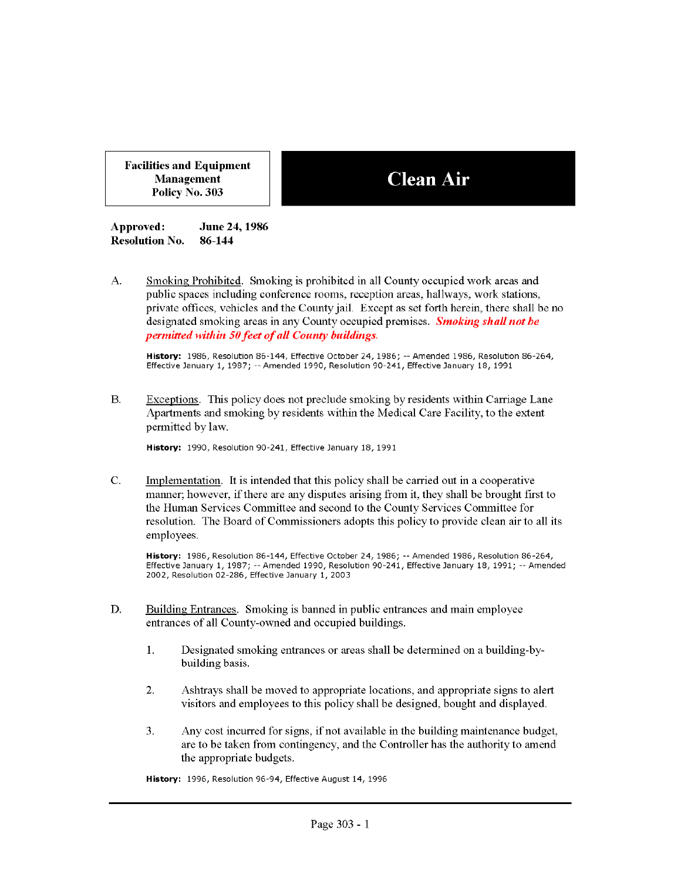**Facilities and Equipment** Management Policy No. 303

# **Clean Air**

Approved: June 24, 1986 **Resolution No.** 86-144

А. Smoking Prohibited. Smoking is prohibited in all County occupied work areas and public spaces including conference rooms, reception areas, hallways, work stations, private offices, vehicles and the County jail. Except as set forth herein, there shall be no designated smoking areas in any County occupied premises. Smoking shall not be permitted within 50 feet of all County buildings.

History: 1986, Resolution 86-144, Effective October 24, 1986; -- Amended 1986, Resolution 86-264, Effective January 1, 1987; -- Amended 1990, Resolution 90-241, Effective January 18, 1991

**B.** Exceptions. This policy does not preclude smoking by residents within Carriage Lane Apartments and smoking by residents within the Medical Care Facility, to the extent permitted by law.

History: 1990, Resolution 90-241, Effective January 18, 1991

 $\mathbf{C}$ . Implementation. It is intended that this policy shall be carried out in a cooperative manner; however, if there are any disputes arising from it, they shall be brought first to the Human Services Committee and second to the County Services Committee for resolution. The Board of Commissioners adopts this policy to provide clean air to all its employees.

History: 1986, Resolution 86-144, Effective October 24, 1986; -- Amended 1986, Resolution 86-264, Effective January 1, 1987; -- Amended 1990, Resolution 90-241, Effective January 18, 1991; -- Amended 2002, Resolution 02-286, Effective January 1, 2003

- Building Entrances. Smoking is banned in public entrances and main employee D. entrances of all County-owned and occupied buildings.
	- $\mathbf{1}$ . Designated smoking entrances or areas shall be determined on a building-bybuilding basis.
	- $\overline{2}$ . Ashtrays shall be moved to appropriate locations, and appropriate signs to a lert visitors and employees to this policy shall be designed, bought and displayed.
	- 3. Any cost incurred for signs, if not available in the building maintenance budget, are to be taken from contingency, and the Controller has the authority to amend the appropriate budgets.

History: 1996, Resolution 96-94, Effective August 14, 1996